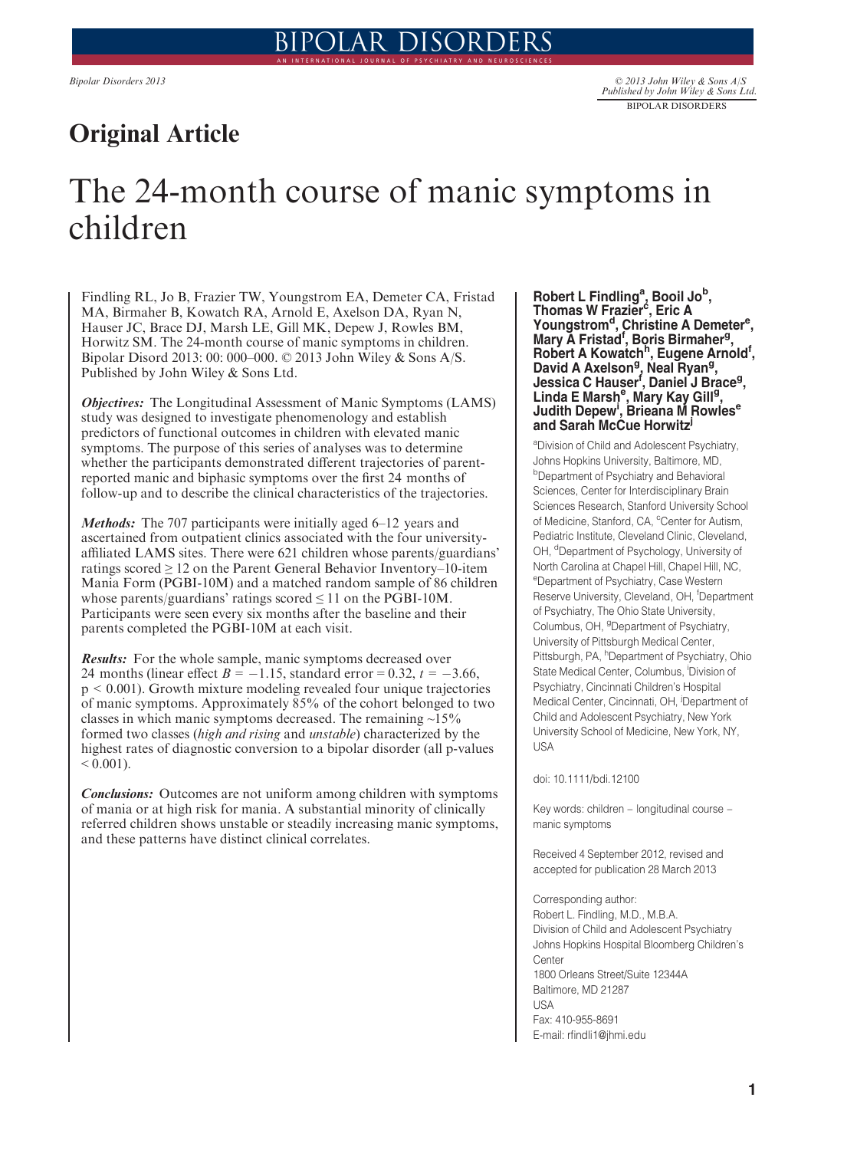## Original Article

# The 24-month course of manic symptoms in children

Findling RL, Jo B, Frazier TW, Youngstrom EA, Demeter CA, Fristad MA, Birmaher B, Kowatch RA, Arnold E, Axelson DA, Ryan N, Hauser JC, Brace DJ, Marsh LE, Gill MK, Depew J, Rowles BM, Horwitz SM. The 24-month course of manic symptoms in children. Bipolar Disord 2013: 00: 000–000. © 2013 John Wiley & Sons A/S. Published by John Wiley & Sons Ltd.

Objectives: The Longitudinal Assessment of Manic Symptoms (LAMS) study was designed to investigate phenomenology and establish predictors of functional outcomes in children with elevated manic symptoms. The purpose of this series of analyses was to determine whether the participants demonstrated different trajectories of parentreported manic and biphasic symptoms over the first 24 months of follow-up and to describe the clinical characteristics of the trajectories.

Methods: The 707 participants were initially aged 6–12 years and ascertained from outpatient clinics associated with the four universityaffiliated LAMS sites. There were 621 children whose parents/guardians' ratings scored  $\geq 12$  on the Parent General Behavior Inventory–10-item Mania Form (PGBI-10M) and a matched random sample of 86 children whose parents/guardians' ratings scored  $\leq 11$  on the PGBI-10M. Participants were seen every six months after the baseline and their parents completed the PGBI-10M at each visit.

Results: For the whole sample, manic symptoms decreased over 24 months (linear effect  $B = -1.15$ , standard error = 0.32,  $t = -3.66$ ,  $p < 0.001$ ). Growth mixture modeling revealed four unique trajectories of manic symptoms. Approximately 85% of the cohort belonged to two classes in which manic symptoms decreased. The remaining  $~15\%$ formed two classes (high and rising and unstable) characterized by the highest rates of diagnostic conversion to a bipolar disorder (all p-values  $\leq 0.001$ ).

Conclusions: Outcomes are not uniform among children with symptoms of mania or at high risk for mania. A substantial minority of clinically referred children shows unstable or steadily increasing manic symptoms, and these patterns have distinct clinical correlates.

Robert L Findling<sup>a</sup>, Booil Jo<sup>b</sup>, Thomas W Frazier<sup>c</sup>, Eric A Youngstrom<sup>d</sup>, Christine A Demeter<sup>e</sup>,<br>Mary A Fristad<sup>f</sup>, Boris Birmaher<sup>g</sup>, Robert A Kowatch<sup>h</sup>, Eugene Arnold<sup>f</sup>,<br>David A Axelson<sup>g</sup>, Neal Ryan<sup>g</sup>,<br>Jessica C Hauser<sup>f</sup>, Daniel J Brace<sup>g</sup>, Linda E Marsh<sup>e</sup>, Mary Kay Gill<sup>g</sup>,<br>Judith Depew<sup>i</sup>, Brieana M Rowles<sup>e</sup> and Sarah McCue Horwitz<sup>1</sup>

aDivision of Child and Adolescent Psychiatry, Johns Hopkins University, Baltimore, MD, b Department of Psychiatry and Behavioral Sciences, Center for Interdisciplinary Brain Sciences Research, Stanford University School of Medicine, Stanford, CA, <sup>c</sup>Center for Autism, Pediatric Institute, Cleveland Clinic, Cleveland, OH, <sup>d</sup>Department of Psychology, University of North Carolina at Chapel Hill, Chapel Hill, NC, e Department of Psychiatry, Case Western Reserve University, Cleveland, OH, <sup>f</sup>Department of Psychiatry, The Ohio State University, Columbus, OH, <sup>g</sup>Department of Psychiatry, University of Pittsburgh Medical Center, Pittsburgh, PA, <sup>h</sup>Department of Psychiatry, Ohio State Medical Center, Columbus, <sup>i</sup>Division of Psychiatry, Cincinnati Children's Hospital Medical Center, Cincinnati, OH, <sup>j</sup>Department of Child and Adolescent Psychiatry, New York University School of Medicine, New York, NY, **USA** 

doi: 10.1111/bdi.12100

Key words: children – longitudinal course – manic symptoms

Received 4 September 2012, revised and accepted for publication 28 March 2013

Corresponding author: Robert L. Findling, M.D., M.B.A. Division of Child and Adolescent Psychiatry Johns Hopkins Hospital Bloomberg Children's **Center** 1800 Orleans Street/Suite 12344A Baltimore, MD 21287 USA Fax: 410-955-8691 E-mail: rfindli1@jhmi.edu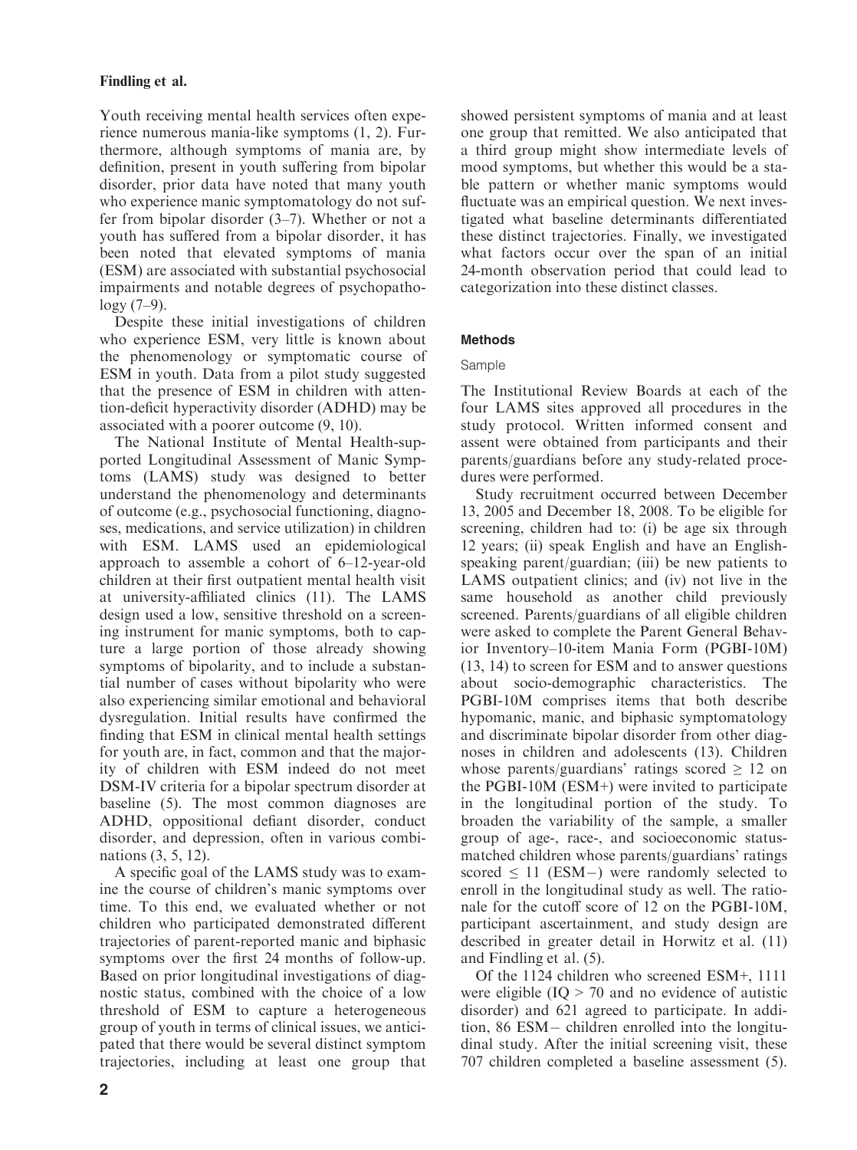Youth receiving mental health services often experience numerous mania-like symptoms (1, 2). Furthermore, although symptoms of mania are, by definition, present in youth suffering from bipolar disorder, prior data have noted that many youth who experience manic symptomatology do not suffer from bipolar disorder (3–7). Whether or not a youth has suffered from a bipolar disorder, it has been noted that elevated symptoms of mania (ESM) are associated with substantial psychosocial impairments and notable degrees of psychopatho $logy(7-9)$ .

Despite these initial investigations of children who experience ESM, very little is known about the phenomenology or symptomatic course of ESM in youth. Data from a pilot study suggested that the presence of ESM in children with attention-deficit hyperactivity disorder (ADHD) may be associated with a poorer outcome (9, 10).

The National Institute of Mental Health-supported Longitudinal Assessment of Manic Symptoms (LAMS) study was designed to better understand the phenomenology and determinants of outcome (e.g., psychosocial functioning, diagnoses, medications, and service utilization) in children with ESM. LAMS used an epidemiological approach to assemble a cohort of 6–12-year-old children at their first outpatient mental health visit at university-affiliated clinics (11). The LAMS design used a low, sensitive threshold on a screening instrument for manic symptoms, both to capture a large portion of those already showing symptoms of bipolarity, and to include a substantial number of cases without bipolarity who were also experiencing similar emotional and behavioral dysregulation. Initial results have confirmed the finding that ESM in clinical mental health settings for youth are, in fact, common and that the majority of children with ESM indeed do not meet DSM-IV criteria for a bipolar spectrum disorder at baseline (5). The most common diagnoses are ADHD, oppositional defiant disorder, conduct disorder, and depression, often in various combinations (3, 5, 12).

A specific goal of the LAMS study was to examine the course of children's manic symptoms over time. To this end, we evaluated whether or not children who participated demonstrated different trajectories of parent-reported manic and biphasic symptoms over the first 24 months of follow-up. Based on prior longitudinal investigations of diagnostic status, combined with the choice of a low threshold of ESM to capture a heterogeneous group of youth in terms of clinical issues, we anticipated that there would be several distinct symptom trajectories, including at least one group that showed persistent symptoms of mania and at least one group that remitted. We also anticipated that a third group might show intermediate levels of mood symptoms, but whether this would be a stable pattern or whether manic symptoms would fluctuate was an empirical question. We next investigated what baseline determinants differentiated these distinct trajectories. Finally, we investigated what factors occur over the span of an initial 24-month observation period that could lead to categorization into these distinct classes.

## Methods

## Sample

The Institutional Review Boards at each of the four LAMS sites approved all procedures in the study protocol. Written informed consent and assent were obtained from participants and their parents/guardians before any study-related procedures were performed.

Study recruitment occurred between December 13, 2005 and December 18, 2008. To be eligible for screening, children had to: (i) be age six through 12 years; (ii) speak English and have an Englishspeaking parent/guardian; (iii) be new patients to LAMS outpatient clinics; and (iv) not live in the same household as another child previously screened. Parents/guardians of all eligible children were asked to complete the Parent General Behavior Inventory–10-item Mania Form (PGBI-10M) (13, 14) to screen for ESM and to answer questions about socio-demographic characteristics. The PGBI-10M comprises items that both describe hypomanic, manic, and biphasic symptomatology and discriminate bipolar disorder from other diagnoses in children and adolescents (13). Children whose parents/guardians' ratings scored  $\geq 12$  on the PGBI-10M (ESM+) were invited to participate in the longitudinal portion of the study. To broaden the variability of the sample, a smaller group of age-, race-, and socioeconomic statusmatched children whose parents/guardians' ratings scored  $\leq 11$  (ESM-) were randomly selected to enroll in the longitudinal study as well. The rationale for the cutoff score of 12 on the PGBI-10M, participant ascertainment, and study design are described in greater detail in Horwitz et al. (11) and Findling et al. (5).

Of the 1124 children who screened ESM+, 1111 were eligible  $(IO > 70$  and no evidence of autistic disorder) and 621 agreed to participate. In addition,  $86$  ESM – children enrolled into the longitudinal study. After the initial screening visit, these 707 children completed a baseline assessment (5).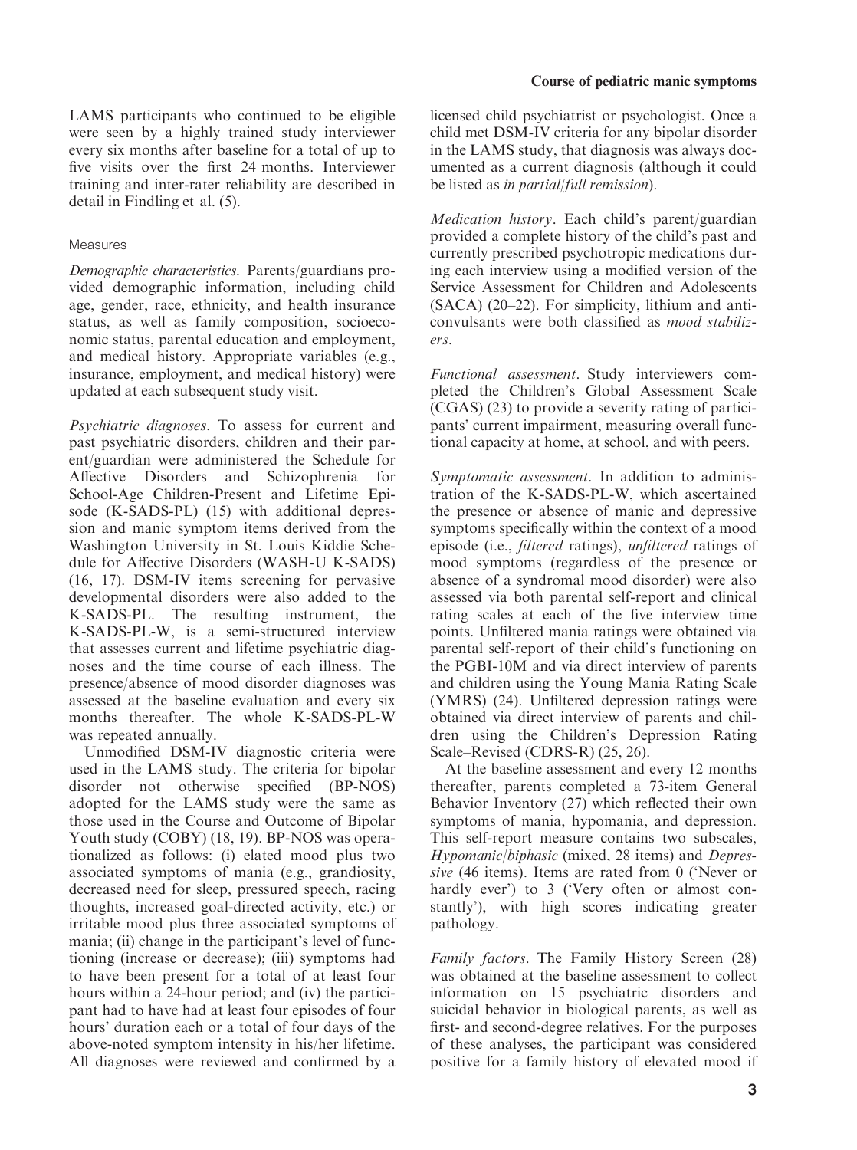LAMS participants who continued to be eligible were seen by a highly trained study interviewer every six months after baseline for a total of up to five visits over the first 24 months. Interviewer training and inter-rater reliability are described in detail in Findling et al. (5).

#### **Measures**

Demographic characteristics. Parents/guardians provided demographic information, including child age, gender, race, ethnicity, and health insurance status, as well as family composition, socioeconomic status, parental education and employment, and medical history. Appropriate variables (e.g., insurance, employment, and medical history) were updated at each subsequent study visit.

Psychiatric diagnoses. To assess for current and past psychiatric disorders, children and their parent/guardian were administered the Schedule for Affective Disorders and Schizophrenia for School-Age Children-Present and Lifetime Episode (K-SADS-PL) (15) with additional depression and manic symptom items derived from the Washington University in St. Louis Kiddie Schedule for Affective Disorders (WASH-U K-SADS) (16, 17). DSM-IV items screening for pervasive developmental disorders were also added to the K-SADS-PL. The resulting instrument, the K-SADS-PL-W, is a semi-structured interview that assesses current and lifetime psychiatric diagnoses and the time course of each illness. The presence/absence of mood disorder diagnoses was assessed at the baseline evaluation and every six months thereafter. The whole K-SADS-PL-W was repeated annually.

Unmodified DSM-IV diagnostic criteria were used in the LAMS study. The criteria for bipolar disorder not otherwise specified (BP-NOS) adopted for the LAMS study were the same as those used in the Course and Outcome of Bipolar Youth study (COBY) (18, 19). BP-NOS was operationalized as follows: (i) elated mood plus two associated symptoms of mania (e.g., grandiosity, decreased need for sleep, pressured speech, racing thoughts, increased goal-directed activity, etc.) or irritable mood plus three associated symptoms of mania; (ii) change in the participant's level of functioning (increase or decrease); (iii) symptoms had to have been present for a total of at least four hours within a 24-hour period; and (iv) the participant had to have had at least four episodes of four hours' duration each or a total of four days of the above-noted symptom intensity in his/her lifetime. All diagnoses were reviewed and confirmed by a

licensed child psychiatrist or psychologist. Once a child met DSM-IV criteria for any bipolar disorder in the LAMS study, that diagnosis was always documented as a current diagnosis (although it could be listed as in partial/full remission).

Medication history. Each child's parent/guardian provided a complete history of the child's past and currently prescribed psychotropic medications during each interview using a modified version of the Service Assessment for Children and Adolescents (SACA) (20–22). For simplicity, lithium and anticonvulsants were both classified as mood stabilizers.

Functional assessment. Study interviewers completed the Children's Global Assessment Scale (CGAS) (23) to provide a severity rating of participants' current impairment, measuring overall functional capacity at home, at school, and with peers.

Symptomatic assessment. In addition to administration of the K-SADS-PL-W, which ascertained the presence or absence of manic and depressive symptoms specifically within the context of a mood episode (i.e., filtered ratings), unfiltered ratings of mood symptoms (regardless of the presence or absence of a syndromal mood disorder) were also assessed via both parental self-report and clinical rating scales at each of the five interview time points. Unfiltered mania ratings were obtained via parental self-report of their child's functioning on the PGBI-10M and via direct interview of parents and children using the Young Mania Rating Scale (YMRS) (24). Unfiltered depression ratings were obtained via direct interview of parents and children using the Children's Depression Rating Scale–Revised (CDRS-R) (25, 26).

At the baseline assessment and every 12 months thereafter, parents completed a 73-item General Behavior Inventory (27) which reflected their own symptoms of mania, hypomania, and depression. This self-report measure contains two subscales, Hypomanic/biphasic (mixed, 28 items) and Depressive (46 items). Items are rated from 0 ('Never or hardly ever') to 3 ('Very often or almost constantly'), with high scores indicating greater pathology.

Family factors. The Family History Screen (28) was obtained at the baseline assessment to collect information on 15 psychiatric disorders and suicidal behavior in biological parents, as well as first- and second-degree relatives. For the purposes of these analyses, the participant was considered positive for a family history of elevated mood if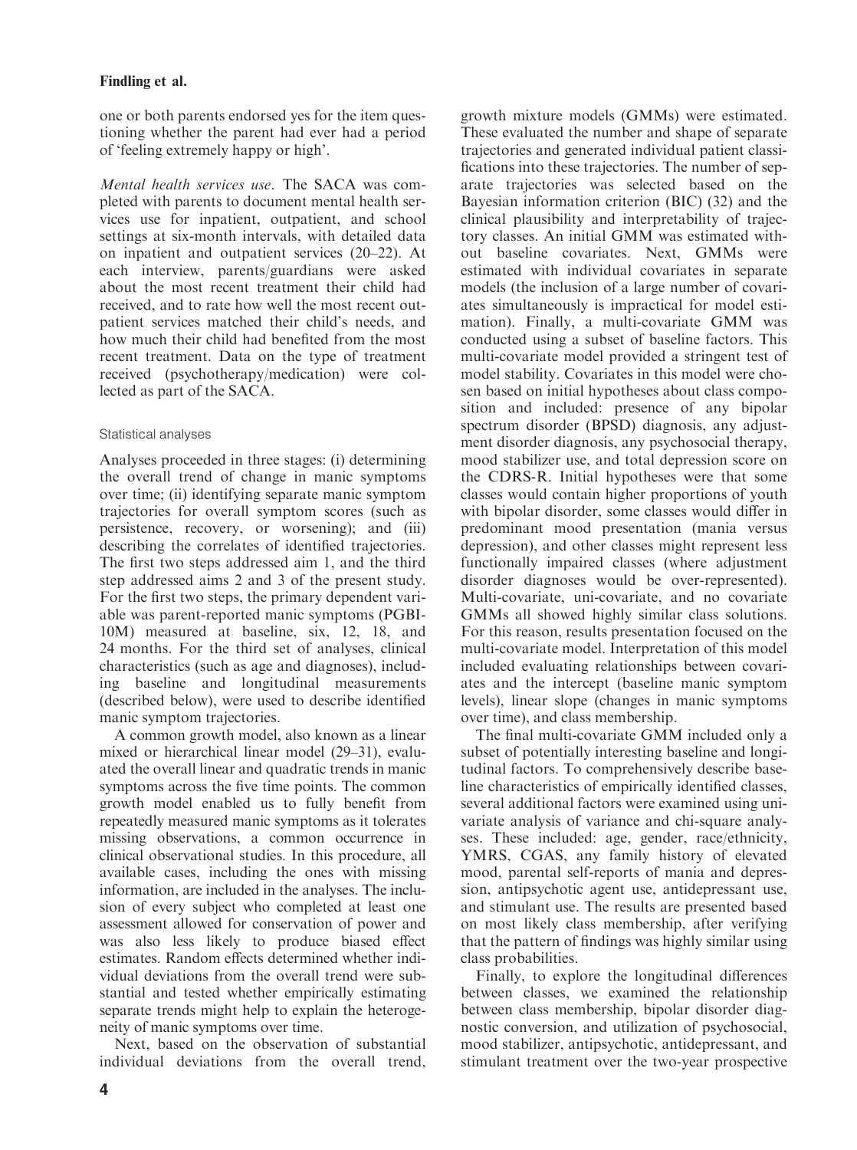## Findling et al.

one or both parents endorsed yes for the item questioning whether the parent had ever had a period of 'feeling extremely happy or high'.

Mental health services use. The SACA was completed with parents to document mental health services use for inpatient, outpatient, and school settings at six-month intervals, with detailed data on inpatient and outpatient services (20–22). At each interview, parents/guardians were asked about the most recent treatment their child had received, and to rate how well the most recent outpatient services matched their child's needs, and how much their child had benefited from the most recent treatment. Data on the type of treatment received (psychotherapy/medication) were collected as part of the SACA.

## Statistical analyses

Analyses proceeded in three stages: (i) determining the overall trend of change in manic symptoms over time; (ii) identifying separate manic symptom trajectories for overall symptom scores (such as persistence, recovery, or worsening); and (iii) describing the correlates of identified trajectories. The first two steps addressed aim 1, and the third step addressed aims 2 and 3 of the present study. For the first two steps, the primary dependent variable was parent-reported manic symptoms (PGBI-10M) measured at baseline, six, 12, 18, and 24 months. For the third set of analyses, clinical characteristics (such as age and diagnoses), including baseline and longitudinal measurements (described below), were used to describe identified manic symptom trajectories.

A common growth model, also known as a linear mixed or hierarchical linear model (29–31), evaluated the overall linear and quadratic trends in manic symptoms across the five time points. The common growth model enabled us to fully benefit from repeatedly measured manic symptoms as it tolerates missing observations, a common occurrence in clinical observational studies. In this procedure, all available cases, including the ones with missing information, are included in the analyses. The inclusion of every subject who completed at least one assessment allowed for conservation of power and was also less likely to produce biased effect estimates. Random effects determined whether individual deviations from the overall trend were substantial and tested whether empirically estimating separate trends might help to explain the heterogeneity of manic symptoms over time.

Next, based on the observation of substantial individual deviations from the overall trend,

growth mixture models (GMMs) were estimated. These evaluated the number and shape of separate trajectories and generated individual patient classifications into these trajectories. The number of separate trajectories was selected based on the Bayesian information criterion (BIC) (32) and the clinical plausibility and interpretability of trajectory classes. An initial GMM was estimated without baseline covariates. Next, GMMs were estimated with individual covariates in separate models (the inclusion of a large number of covariates simultaneously is impractical for model estimation). Finally, a multi-covariate GMM was conducted using a subset of baseline factors. This multi-covariate model provided a stringent test of model stability. Covariates in this model were chosen based on initial hypotheses about class composition and included: presence of any bipolar spectrum disorder (BPSD) diagnosis, any adjustment disorder diagnosis, any psychosocial therapy, mood stabilizer use, and total depression score on the CDRS-R. Initial hypotheses were that some classes would contain higher proportions of youth with bipolar disorder, some classes would differ in predominant mood presentation (mania versus depression), and other classes might represent less functionally impaired classes (where adjustment disorder diagnoses would be over-represented). Multi-covariate, uni-covariate, and no covariate GMMs all showed highly similar class solutions. For this reason, results presentation focused on the multi-covariate model. Interpretation of this model included evaluating relationships between covariates and the intercept (baseline manic symptom levels), linear slope (changes in manic symptoms over time), and class membership.

The final multi-covariate GMM included only a subset of potentially interesting baseline and longitudinal factors. To comprehensively describe baseline characteristics of empirically identified classes, several additional factors were examined using univariate analysis of variance and chi-square analyses. These included: age, gender, race/ethnicity, YMRS, CGAS, any family history of elevated mood, parental self-reports of mania and depression, antipsychotic agent use, antidepressant use, and stimulant use. The results are presented based on most likely class membership, after verifying that the pattern of findings was highly similar using class probabilities.

Finally, to explore the longitudinal differences between classes, we examined the relationship between class membership, bipolar disorder diagnostic conversion, and utilization of psychosocial, mood stabilizer, antipsychotic, antidepressant, and stimulant treatment over the two-year prospective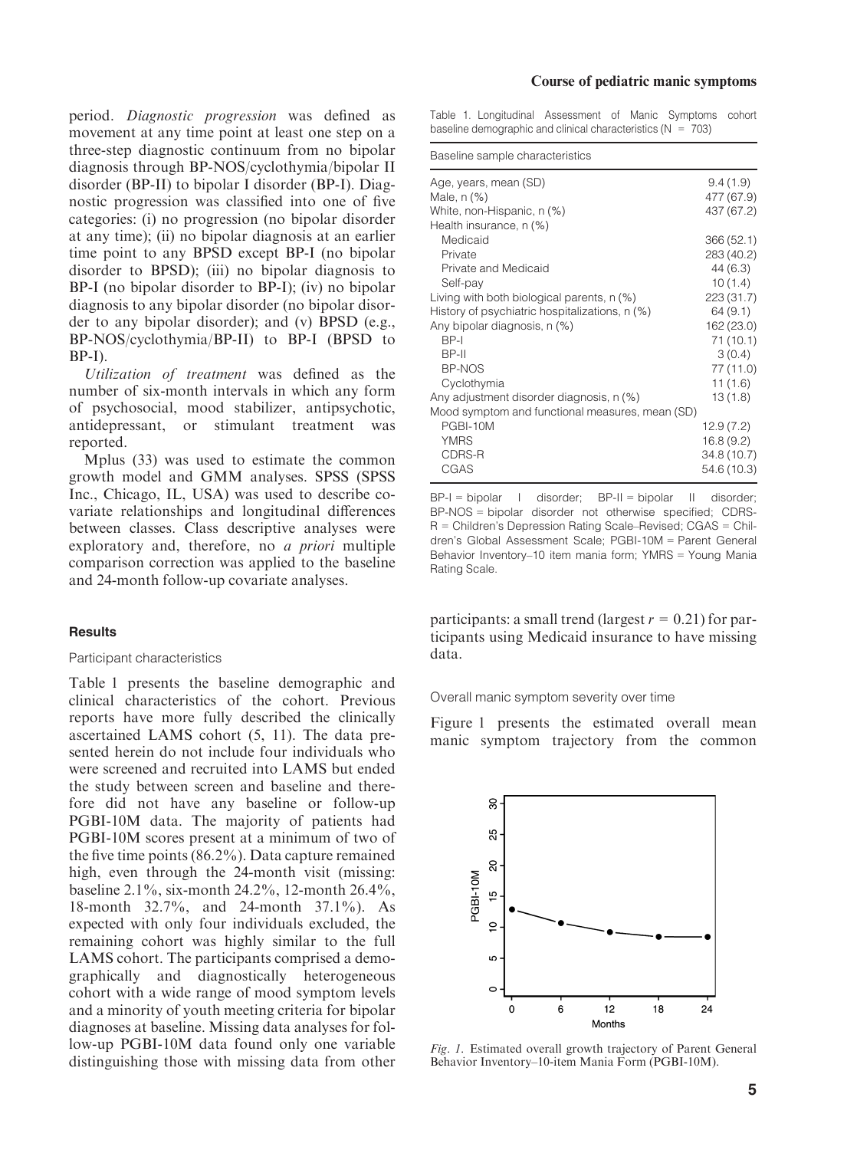period. Diagnostic progression was defined as movement at any time point at least one step on a three-step diagnostic continuum from no bipolar diagnosis through BP-NOS/cyclothymia/bipolar II disorder (BP-II) to bipolar I disorder (BP-I). Diagnostic progression was classified into one of five categories: (i) no progression (no bipolar disorder at any time); (ii) no bipolar diagnosis at an earlier time point to any BPSD except BP-I (no bipolar disorder to BPSD); (iii) no bipolar diagnosis to BP-I (no bipolar disorder to BP-I); (iv) no bipolar diagnosis to any bipolar disorder (no bipolar disorder to any bipolar disorder); and (v) BPSD (e.g., BP-NOS/cyclothymia/BP-II) to BP-I (BPSD to  $BP-I$ ).

Utilization of treatment was defined as the number of six-month intervals in which any form of psychosocial, mood stabilizer, antipsychotic, antidepressant, or stimulant treatment was reported.

Mplus (33) was used to estimate the common growth model and GMM analyses. SPSS (SPSS Inc., Chicago, IL, USA) was used to describe covariate relationships and longitudinal differences between classes. Class descriptive analyses were exploratory and, therefore, no a priori multiple comparison correction was applied to the baseline and 24-month follow-up covariate analyses.

#### **Results**

#### Participant characteristics

Table 1 presents the baseline demographic and clinical characteristics of the cohort. Previous reports have more fully described the clinically ascertained LAMS cohort (5, 11). The data presented herein do not include four individuals who were screened and recruited into LAMS but ended the study between screen and baseline and therefore did not have any baseline or follow-up PGBI-10M data. The majority of patients had PGBI-10M scores present at a minimum of two of the five time points (86.2%). Data capture remained high, even through the 24-month visit (missing: baseline 2.1%, six-month 24.2%, 12-month 26.4%, 18-month 32.7%, and 24-month 37.1%). As expected with only four individuals excluded, the remaining cohort was highly similar to the full LAMS cohort. The participants comprised a demographically and diagnostically heterogeneous cohort with a wide range of mood symptom levels and a minority of youth meeting criteria for bipolar diagnoses at baseline. Missing data analyses for follow-up PGBI-10M data found only one variable distinguishing those with missing data from other Table 1. Longitudinal Assessment of Manic Symptoms cohort baseline demographic and clinical characteristics ( $N = 703$ )

Baseline sample characteristics

| Age, years, mean (SD)                           | 9.4(1.9)    |
|-------------------------------------------------|-------------|
| Male, n (%)                                     | 477 (67.9)  |
| White, non-Hispanic, n (%)                      | 437 (67.2)  |
| Health insurance, n (%)                         |             |
| Medicaid                                        | 366(52.1)   |
| Private                                         | 283 (40.2)  |
| Private and Medicaid                            | 44 (6.3)    |
| Self-pay                                        | 10(1.4)     |
| Living with both biological parents, $n$ $%$ )  | 223 (31.7)  |
| History of psychiatric hospitalizations, n (%)  | 64 (9.1)    |
| Any bipolar diagnosis, n (%)                    | 162(23.0)   |
| BP-I                                            | 71(10.1)    |
| $BP-II$                                         | 3(0.4)      |
| <b>BP-NOS</b>                                   | 77 (11.0)   |
| Cyclothymia                                     | 11(1.6)     |
| Any adjustment disorder diagnosis, n (%)        | 13(1.8)     |
| Mood symptom and functional measures, mean (SD) |             |
| PGBI-10M                                        | 12.9(7.2)   |
| <b>YMRS</b>                                     | 16.8(9.2)   |
| CDRS-R                                          | 34.8 (10.7) |
| CGAS                                            | 54.6 (10.3) |
|                                                 |             |

BP-I = bipolar I disorder; BP-II = bipolar II disorder; BP-NOS = bipolar disorder not otherwise specified; CDRS-R = Children's Depression Rating Scale–Revised; CGAS = Children's Global Assessment Scale; PGBI-10M = Parent General Behavior Inventory–10 item mania form; YMRS = Young Mania Rating Scale.

participants: a small trend (largest  $r = 0.21$ ) for participants using Medicaid insurance to have missing data.

#### Overall manic symptom severity over time

Figure 1 presents the estimated overall mean manic symptom trajectory from the common



Fig. 1. Estimated overall growth trajectory of Parent General Behavior Inventory–10-item Mania Form (PGBI-10M).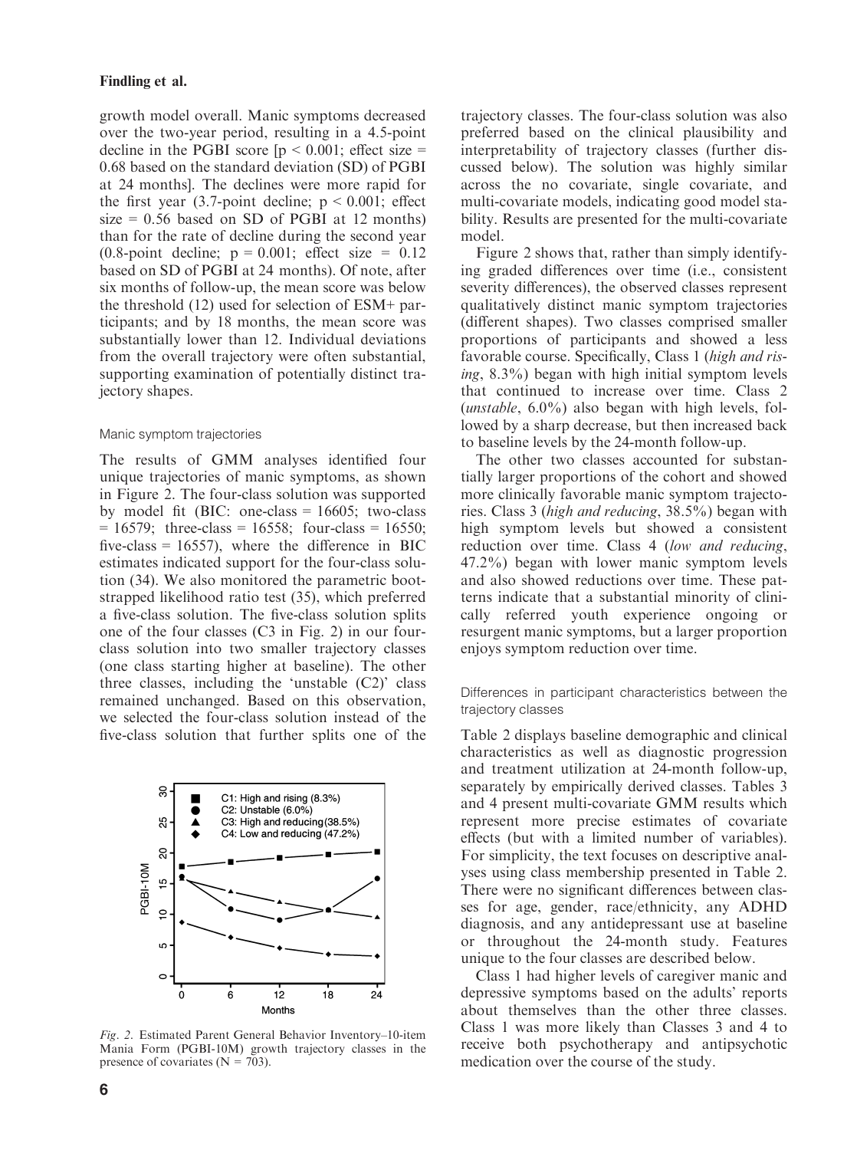growth model overall. Manic symptoms decreased over the two-year period, resulting in a 4.5-point decline in the PGBI score  $[p \le 0.001]$ ; effect size = 0.68 based on the standard deviation (SD) of PGBI at 24 months]. The declines were more rapid for the first year (3.7-point decline;  $p < 0.001$ ; effect size  $= 0.56$  based on SD of PGBI at 12 months) than for the rate of decline during the second year  $(0.8\text{-point}$  decline;  $p = 0.001$ ; effect size = 0.12 based on SD of PGBI at 24 months). Of note, after six months of follow-up, the mean score was below the threshold (12) used for selection of ESM+ participants; and by 18 months, the mean score was substantially lower than 12. Individual deviations from the overall trajectory were often substantial, supporting examination of potentially distinct trajectory shapes.

#### Manic symptom trajectories

The results of GMM analyses identified four unique trajectories of manic symptoms, as shown in Figure 2. The four-class solution was supported by model fit (BIC: one-class  $= 16605$ ; two-class  $= 16579$ ; three-class  $= 16558$ ; four-class  $= 16550$ ; five-class =  $16557$ ), where the difference in BIC estimates indicated support for the four-class solution (34). We also monitored the parametric bootstrapped likelihood ratio test (35), which preferred a five-class solution. The five-class solution splits one of the four classes (C3 in Fig. 2) in our fourclass solution into two smaller trajectory classes (one class starting higher at baseline). The other three classes, including the 'unstable (C2)' class remained unchanged. Based on this observation, we selected the four-class solution instead of the five-class solution that further splits one of the



Fig. 2. Estimated Parent General Behavior Inventory–10-item Mania Form (PGBI-10M) growth trajectory classes in the presence of covariates ( $N = 703$ ).

trajectory classes. The four-class solution was also preferred based on the clinical plausibility and interpretability of trajectory classes (further discussed below). The solution was highly similar across the no covariate, single covariate, and multi-covariate models, indicating good model stability. Results are presented for the multi-covariate model.

Figure 2 shows that, rather than simply identifying graded differences over time (i.e., consistent severity differences), the observed classes represent qualitatively distinct manic symptom trajectories (different shapes). Two classes comprised smaller proportions of participants and showed a less favorable course. Specifically, Class 1 (high and rising, 8.3%) began with high initial symptom levels that continued to increase over time. Class 2 (*unstable*,  $6.0\%$ ) also began with high levels, followed by a sharp decrease, but then increased back to baseline levels by the 24-month follow-up.

The other two classes accounted for substantially larger proportions of the cohort and showed more clinically favorable manic symptom trajectories. Class 3 (high and reducing, 38.5%) began with high symptom levels but showed a consistent reduction over time. Class 4 (low and reducing, 47.2%) began with lower manic symptom levels and also showed reductions over time. These patterns indicate that a substantial minority of clinically referred youth experience ongoing or resurgent manic symptoms, but a larger proportion enjoys symptom reduction over time.

Differences in participant characteristics between the trajectory classes

Table 2 displays baseline demographic and clinical characteristics as well as diagnostic progression and treatment utilization at 24-month follow-up, separately by empirically derived classes. Tables 3 and 4 present multi-covariate GMM results which represent more precise estimates of covariate effects (but with a limited number of variables). For simplicity, the text focuses on descriptive analyses using class membership presented in Table 2. There were no significant differences between classes for age, gender, race/ethnicity, any ADHD diagnosis, and any antidepressant use at baseline or throughout the 24-month study. Features unique to the four classes are described below.

Class 1 had higher levels of caregiver manic and depressive symptoms based on the adults' reports about themselves than the other three classes. Class 1 was more likely than Classes 3 and 4 to receive both psychotherapy and antipsychotic medication over the course of the study.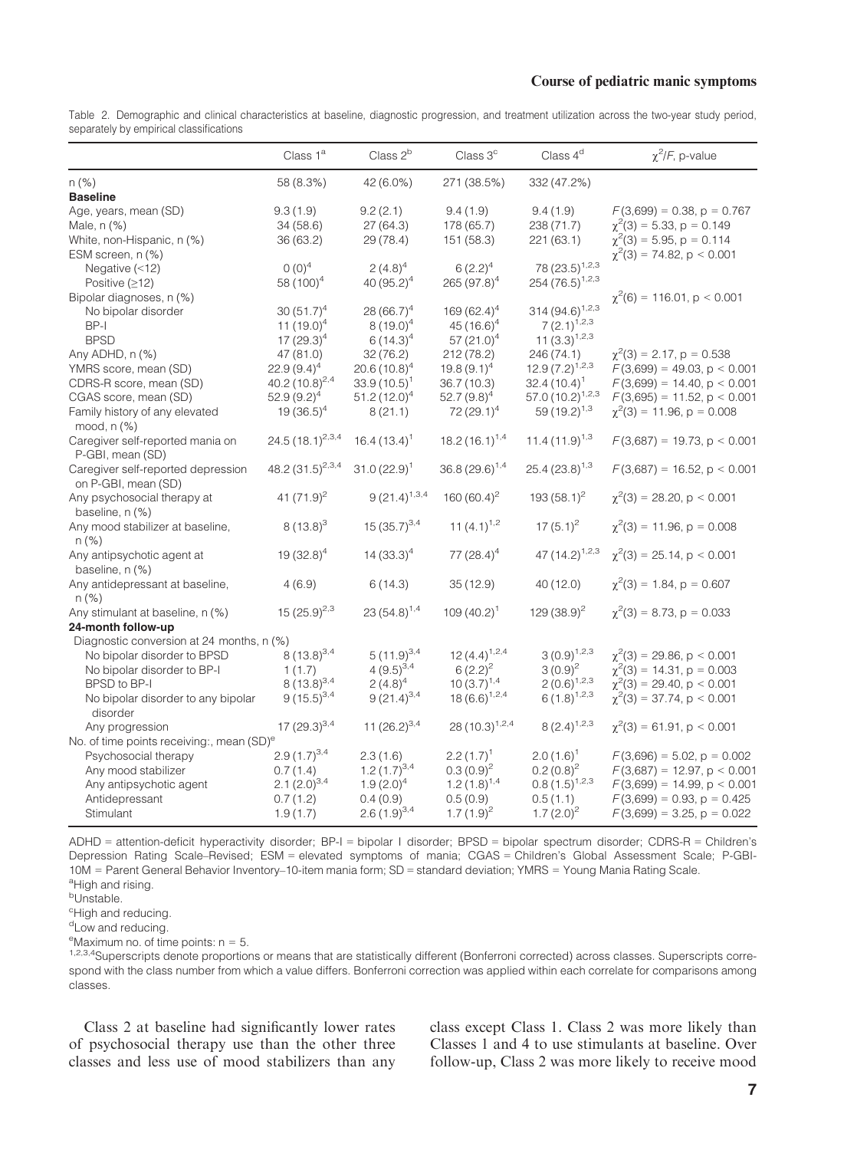Table 2. Demographic and clinical characteristics at baseline, diagnostic progression, and treatment utilization across the two-year study period, separately by empirical classifications

|                                                        | Class 1 <sup>a</sup>         | Class 2 <sup>b</sup> | Class 3 <sup>c</sup> | Class 4 <sup>d</sup>  | $\chi^2$ /F, p-value             |
|--------------------------------------------------------|------------------------------|----------------------|----------------------|-----------------------|----------------------------------|
| $n (\%)$                                               | 58 (8.3%)                    | 42 (6.0%)            | 271 (38.5%)          | 332 (47.2%)           |                                  |
| <b>Baseline</b>                                        |                              |                      |                      |                       |                                  |
| Age, years, mean (SD)                                  | 9.3(1.9)                     | 9.2(2.1)             | 9.4(1.9)             | 9.4(1.9)              | $F(3,699) = 0.38$ , p = 0.767    |
| Male, n (%)                                            | 34(58.6)                     | 27(64.3)             | 178 (65.7)           | 238 (71.7)            | $\chi^2(3) = 5.33$ , p = 0.149   |
| White, non-Hispanic, n (%)                             | 36 (63.2)                    | 29 (78.4)            | 151 (58.3)           | 221 (63.1)            | $\chi^2(3) = 5.95$ , p = 0.114   |
| ESM screen, n (%)                                      |                              |                      |                      |                       | $\chi^2(3) = 74.82$ , p < 0.001  |
| Negative (<12)                                         | $0(0)^4$                     | $2(4.8)^4$           | $6(2.2)^4$           | 78 $(23.5)^{1,2,3}$   |                                  |
| Positive $(≥12)$                                       | 58 (100) <sup>4</sup>        | 40 $(95.2)^4$        | 265 $(97.8)^4$       | 254 (76.5) $1,2,3$    |                                  |
| Bipolar diagnoses, n (%)                               |                              |                      |                      |                       | $\chi^2(6) = 116.01$ , p < 0.001 |
| No bipolar disorder                                    | 30 $(51.7)^4$                | $28(66.7)^4$         | 169 $(62.4)^4$       | 314 $(94.6)^{1,2,3}$  |                                  |
| BP-I                                                   | 11 $(19.0)^4$                | $8(19.0)^4$          | 45 $(16.6)^4$        | $7(2.1)^{1,2,3}$      |                                  |
| <b>BPSD</b>                                            | 17 $(29.3)^4$                | $6(14.3)^4$          | 57 $(21.0)^4$        | 11 $(3.3)^{1,2,3}$    |                                  |
| Any ADHD, n (%)                                        | 47 (81.0)                    | 32(76.2)             | 212 (78.2)           | 246 (74.1)            | $\chi^2(3) = 2.17$ , p = 0.538   |
| YMRS score, mean (SD)                                  | 22.9 $(9.4)^4$               | 20.6 $(10.8)^4$      | 19.8 $(9.1)^4$       | $12.9(7.2)^{1,2,3}$   | $F(3,699) = 49.03$ , p < 0.001   |
| CDRS-R score, mean (SD)                                | 40.2 $(10.8)^{2,4}$          | $33.9(10.5)^1$       | 36.7 (10.3)          | $32.4(10.4)^1$        | $F(3,699) = 14.40$ , p < 0.001   |
| CGAS score, mean (SD)                                  | 52.9 $(9.2)^4$               | 51.2 $(12.0)^4$      | 52.7 $(9.8)^4$       | 57.0 $(10.2)^{1,2,3}$ | $F(3,695) = 11.52$ , p < 0.001   |
| Family history of any elevated<br>mood, $n$ $%$        | 19 $(36.5)^4$                | 8(21.1)              | $72(29.1)^4$         | 59 $(19.2)^{1,3}$     | $\chi^2(3) = 11.96$ , p = 0.008  |
| Caregiver self-reported mania on                       | 24.5 $(18.1)^{2,3,4}$        | $16.4(13.4)^1$       | 18.2 $(16.1)^{1,4}$  | 11.4 $(11.9)^{1,3}$   | $F(3,687) = 19.73$ , p < 0.001   |
| P-GBI, mean (SD)<br>Caregiver self-reported depression | 48.2 (31.5) <sup>2,3,4</sup> | $31.0(22.9)^1$       | 36.8 $(29.6)^{1,4}$  | 25.4 $(23.8)^{1,3}$   | $F(3,687) = 16.52$ , p < 0.001   |
| on P-GBI, mean (SD)                                    |                              |                      |                      |                       |                                  |
| Any psychosocial therapy at<br>baseline, n (%)         | 41 $(71.9)^2$                | $9(21.4)^{1,3,4}$    | 160 $(60.4)^2$       | 193 $(58.1)^2$        | $\chi^2(3) = 28.20$ , p < 0.001  |
| Any mood stabilizer at baseline,<br>$n (\%)$           | $8(13.8)^3$                  | 15 $(35.7)^{3,4}$    | 11 $(4.1)^{1,2}$     | 17 $(5.1)^2$          | $\chi^2(3) = 11.96$ , p = 0.008  |
| Any antipsychotic agent at                             | $19(32.8)^4$                 | 14 $(33.3)^4$        | 77 $(28.4)^4$        | 47 $(14.2)^{1,2,3}$   | $\chi^2(3) = 25.14$ , p < 0.001  |
| baseline, $n$ $%$ )                                    |                              |                      |                      |                       |                                  |
| Any antidepressant at baseline,                        | 4(6.9)                       | 6(14.3)              | 35(12.9)             | 40 (12.0)             | $\chi^2(3) = 1.84$ , p = 0.607   |
| $n (\%)$                                               |                              |                      |                      |                       |                                  |
| Any stimulant at baseline, n (%)                       | $15(25.9)^{2,3}$             | 23 $(54.8)^{1,4}$    | $109(40.2)^1$        | 129 $(38.9)^2$        | $\chi^2(3) = 8.73$ , p = 0.033   |
| 24-month follow-up                                     |                              |                      |                      |                       |                                  |
| Diagnostic conversion at 24 months, n (%)              |                              |                      |                      |                       |                                  |
| No bipolar disorder to BPSD                            | $8(13.8)^{3,4}$              | $5(11.9)^{3,4}$      | $12(4.4)^{1,2,4}$    | $3(0.9)^{1,2,3}$      | $\chi^2(3) = 29.86$ , p < 0.001  |
| No bipolar disorder to BP-I                            | 1(1.7)                       | 4 $(9.5)^{3,4}$      | $6(2.2)^2$           | $3(0.9)^2$            | $\chi^2(3) = 14.31$ , p = 0.003  |
| <b>BPSD to BP-I</b>                                    | $8(13.8)^{3,4}$              | $(4.8)^4$            | $10(3.7)^{1,4}$      | $2(0.6)^{1,2,3}$      | $\chi^2(3) = 29.40$ , p < 0.001  |
| No bipolar disorder to any bipolar<br>disorder         | $9(15.5)^{3,4}$              | $9(21.4)^{3,4}$      | 18 $(6.6)^{1,2,4}$   | $6(1.8)^{1,2,3}$      | $\chi^2(3) = 37.74$ , p < 0.001  |
| Any progression                                        | 17 $(29.3)^{3,4}$            | 11 $(26.2)^{3,4}$    | 28 $(10.3)^{1,2,4}$  | $8(2.4)^{1,2,3}$      | $\chi^2(3) = 61.91$ , p < 0.001  |
| No. of time points receiving:, mean (SD) <sup>e</sup>  |                              |                      |                      |                       |                                  |
| Psychosocial therapy                                   | $2.9(1.7)^{3,4}$             | 2.3(1.6)             | $2.2(1.7)^1$         | $2.0(1.6)^1$          | $F(3,696) = 5.02$ , p = 0.002    |
| Any mood stabilizer                                    | 0.7(1.4)                     | $1.2(1.7)^{3,4}$     | $0.3(0.9)^2$         | $0.2(0.8)^2$          | $F(3,687) = 12.97$ , p < 0.001   |
| Any antipsychotic agent                                | $2.1 (2.0)^{3,4}$            | $1.9(2.0)^4$         | $1.2(1.8)^{1,4}$     | $0.8(1.5)^{1,2,3}$    | $F(3,699) = 14.99$ , p < 0.001   |
| Antidepressant                                         | 0.7(1.2)                     | 0.4(0.9)             | 0.5(0.9)             | 0.5(1.1)              | $F(3,699) = 0.93$ , p = 0.425    |
| Stimulant                                              | 1.9(1.7)                     | $2.6(1.9)^{3,4}$     | $1.7(1.9)^2$         | $1.7(2.0)^2$          | $F(3,699) = 3.25$ , p = 0.022    |

ADHD = attention-deficit hyperactivity disorder; BP-I = bipolar I disorder; BPSD = bipolar spectrum disorder; CDRS-R = Children's Depression Rating Scale–Revised; ESM = elevated symptoms of mania; CGAS = Children's Global Assessment Scale; P-GBI-10M = Parent General Behavior Inventory–10-item mania form; SD = standard deviation; YMRS = Young Mania Rating Scale. <sup>a</sup>High and rising.

bUnstable.

<sup>c</sup>High and reducing.

<sup>d</sup>Low and reducing.

<sup>e</sup>Maximum no. of time points:  $n = 5$ .

1,2,3,4Superscripts denote proportions or means that are statistically different (Bonferroni corrected) across classes. Superscripts correspond with the class number from which a value differs. Bonferroni correction was applied within each correlate for comparisons among classes.

Class 2 at baseline had significantly lower rates of psychosocial therapy use than the other three classes and less use of mood stabilizers than any class except Class 1. Class 2 was more likely than Classes 1 and 4 to use stimulants at baseline. Over follow-up, Class 2 was more likely to receive mood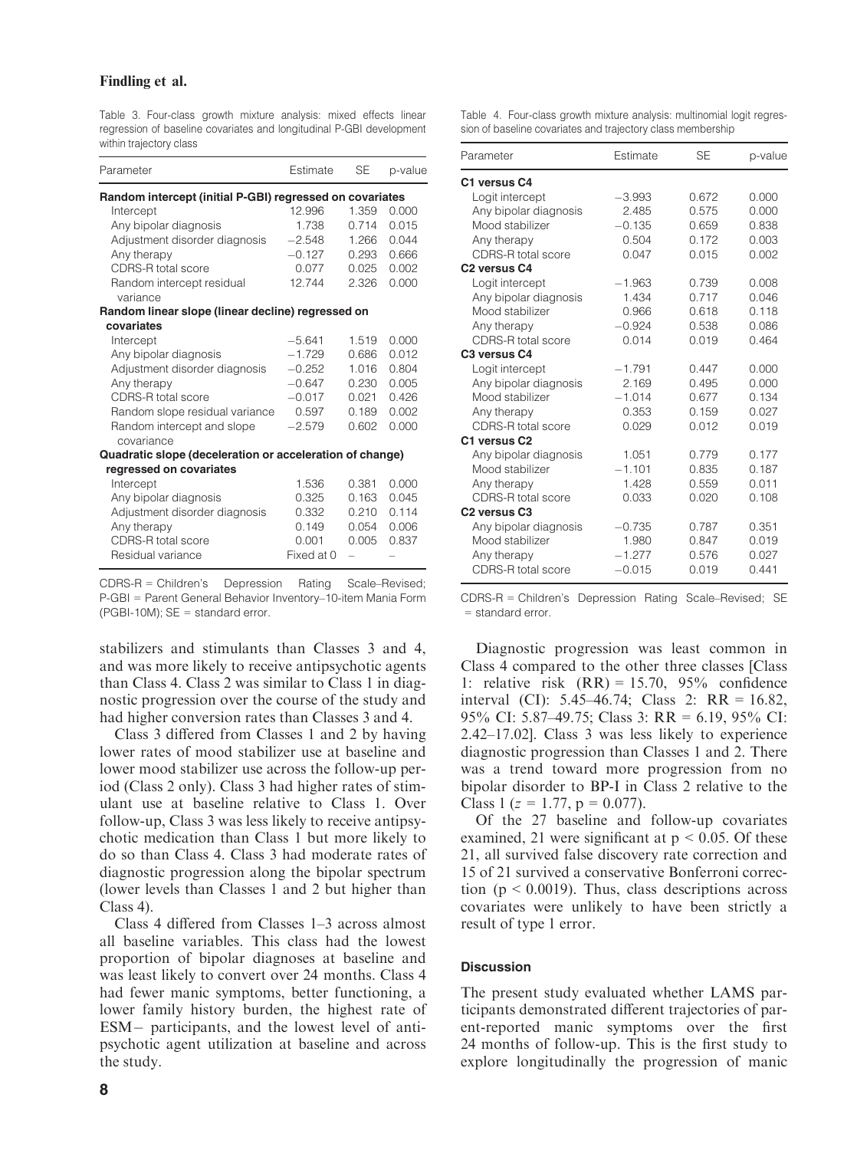### Findling et al.

Table 3. Four-class growth mixture analysis: mixed effects linear regression of baseline covariates and longitudinal P-GBI development within trajectory class

| Parameter                                                | Estimate   | <b>SE</b> | p-value |  |  |  |  |
|----------------------------------------------------------|------------|-----------|---------|--|--|--|--|
| Random intercept (initial P-GBI) regressed on covariates |            |           |         |  |  |  |  |
| Intercept                                                | 12.996     | 1.359     | 0.000   |  |  |  |  |
| Any bipolar diagnosis                                    | 1.738      | 0 7 1 4   | 0.015   |  |  |  |  |
| Adjustment disorder diagnosis                            | $-2.548$   | 1.266     | 0.044   |  |  |  |  |
| Any therapy                                              | $-0.127$   | 0.293     | 0.666   |  |  |  |  |
| CDRS-R total score                                       | 0.077      | 0.025     | 0.002   |  |  |  |  |
| Random intercept residual<br>variance                    | 12.744     | 2.326     | 0.000   |  |  |  |  |
| Random linear slope (linear decline) regressed on        |            |           |         |  |  |  |  |
| covariates                                               |            |           |         |  |  |  |  |
| Intercept                                                | $-5.641$   | 1.519     | 0.000   |  |  |  |  |
| Any bipolar diagnosis                                    | $-1.729$   | 0.686     | 0.012   |  |  |  |  |
| Adjustment disorder diagnosis                            | $-0.252$   | 1.016     | 0.804   |  |  |  |  |
| Any therapy                                              | $-0.647$   | 0.230     | 0.005   |  |  |  |  |
| CDRS-R total score                                       | $-0.017$   | 0.021     | 0.426   |  |  |  |  |
| Random slope residual variance                           | 0.597      | 0.189     | 0.002   |  |  |  |  |
| Random intercept and slope                               | $-2.579$   | 0.602     | 0.000   |  |  |  |  |
| covariance                                               |            |           |         |  |  |  |  |
| Quadratic slope (deceleration or acceleration of change) |            |           |         |  |  |  |  |
| regressed on covariates                                  |            |           |         |  |  |  |  |
| Intercept                                                | 1.536      | 0.381     | 0.000   |  |  |  |  |
| Any bipolar diagnosis                                    | 0.325      | 0.163     | 0.045   |  |  |  |  |
| Adjustment disorder diagnosis                            | 0.332      | 0.210     | 0.114   |  |  |  |  |
| Any therapy                                              | 0.149      | 0.054     | 0.006   |  |  |  |  |
| CDRS-R total score                                       | 0.001      | 0.005     | 0.837   |  |  |  |  |
| Residual variance                                        | Fixed at 0 |           |         |  |  |  |  |

CDRS-R = Children's Depression Rating Scale–Revised; P-GBI = Parent General Behavior Inventory–10-item Mania Form (PGBI-10M); SE = standard error.

stabilizers and stimulants than Classes 3 and 4, and was more likely to receive antipsychotic agents than Class 4. Class 2 was similar to Class 1 in diagnostic progression over the course of the study and had higher conversion rates than Classes 3 and 4.

Class 3 differed from Classes 1 and 2 by having lower rates of mood stabilizer use at baseline and lower mood stabilizer use across the follow-up period (Class 2 only). Class 3 had higher rates of stimulant use at baseline relative to Class 1. Over follow-up, Class 3 was less likely to receive antipsychotic medication than Class 1 but more likely to do so than Class 4. Class 3 had moderate rates of diagnostic progression along the bipolar spectrum (lower levels than Classes 1 and 2 but higher than Class 4).

Class 4 differed from Classes 1–3 across almost all baseline variables. This class had the lowest proportion of bipolar diagnoses at baseline and was least likely to convert over 24 months. Class 4 had fewer manic symptoms, better functioning, a lower family history burden, the highest rate of ESM- participants, and the lowest level of antipsychotic agent utilization at baseline and across the study.

Table 4. Four-class growth mixture analysis: multinomial logit regression of baseline covariates and trajectory class membership

| Parameter                            | Estimate | <b>SE</b> | p-value |
|--------------------------------------|----------|-----------|---------|
| C <sub>1</sub> versus C <sub>4</sub> |          |           |         |
| Logit intercept                      | $-3.993$ | 0.672     | 0.000   |
| Any bipolar diagnosis                | 2.485    | 0.575     | 0.000   |
| Mood stabilizer                      | $-0.135$ | 0.659     | 0.838   |
| Any therapy                          | 0.504    | 0.172     | 0.003   |
| CDRS-R total score                   | 0.047    | 0.015     | 0.002   |
| C <sub>2</sub> versus C <sub>4</sub> |          |           |         |
| Logit intercept                      | $-1.963$ | 0.739     | 0.008   |
| Any bipolar diagnosis                | 1.434    | 0 7 1 7   | 0.046   |
| Mood stabilizer                      | 0.966    | 0.618     | 0.118   |
| Any therapy                          | $-0.924$ | 0.538     | 0.086   |
| CDRS-R total score                   | 0.014    | 0.019     | 0.464   |
| C <sub>3</sub> versus C <sub>4</sub> |          |           |         |
| Logit intercept                      | $-1.791$ | 0.447     | 0.000   |
| Any bipolar diagnosis                | 2.169    | 0.495     | 0.000   |
| Mood stabilizer                      | $-1.014$ | 0.677     | 0.134   |
| Any therapy                          | 0.353    | 0.159     | 0.027   |
| CDRS-R total score                   | 0.029    | 0.012     | 0.019   |
| C1 versus C <sub>2</sub>             |          |           |         |
| Any bipolar diagnosis                | 1.051    | 0.779     | 0.177   |
| Mood stabilizer                      | $-1.101$ | 0.835     | 0.187   |
| Any therapy                          | 1.428    | 0.559     | 0.011   |
| CDRS-R total score                   | 0.033    | 0.020     | 0.108   |
| C <sub>2</sub> versus C <sub>3</sub> |          |           |         |
| Any bipolar diagnosis                | $-0.735$ | 0.787     | 0.351   |
| Mood stabilizer                      | 1.980    | 0.847     | 0.019   |
| Any therapy                          | $-1.277$ | 0.576     | 0.027   |
| CDRS-R total score                   | $-0.015$ | 0.019     | 0.441   |

CDRS-R = Children's Depression Rating Scale–Revised; SE = standard error.

Diagnostic progression was least common in Class 4 compared to the other three classes [Class 1: relative risk  $(RR) = 15.70$ ,  $95\%$  confidence interval (CI): 5.45–46.74; Class 2: RR = 16.82, 95% CI: 5.87–49.75; Class 3: RR = 6.19, 95% CI: 2.42–17.02]. Class 3 was less likely to experience diagnostic progression than Classes 1 and 2. There was a trend toward more progression from no bipolar disorder to BP-I in Class 2 relative to the Class 1 ( $z = 1.77$ ,  $p = 0.077$ ).

Of the 27 baseline and follow-up covariates examined, 21 were significant at  $p < 0.05$ . Of these 21, all survived false discovery rate correction and 15 of 21 survived a conservative Bonferroni correction ( $p < 0.0019$ ). Thus, class descriptions across covariates were unlikely to have been strictly a result of type 1 error.

#### **Discussion**

The present study evaluated whether LAMS participants demonstrated different trajectories of parent-reported manic symptoms over the first 24 months of follow-up. This is the first study to explore longitudinally the progression of manic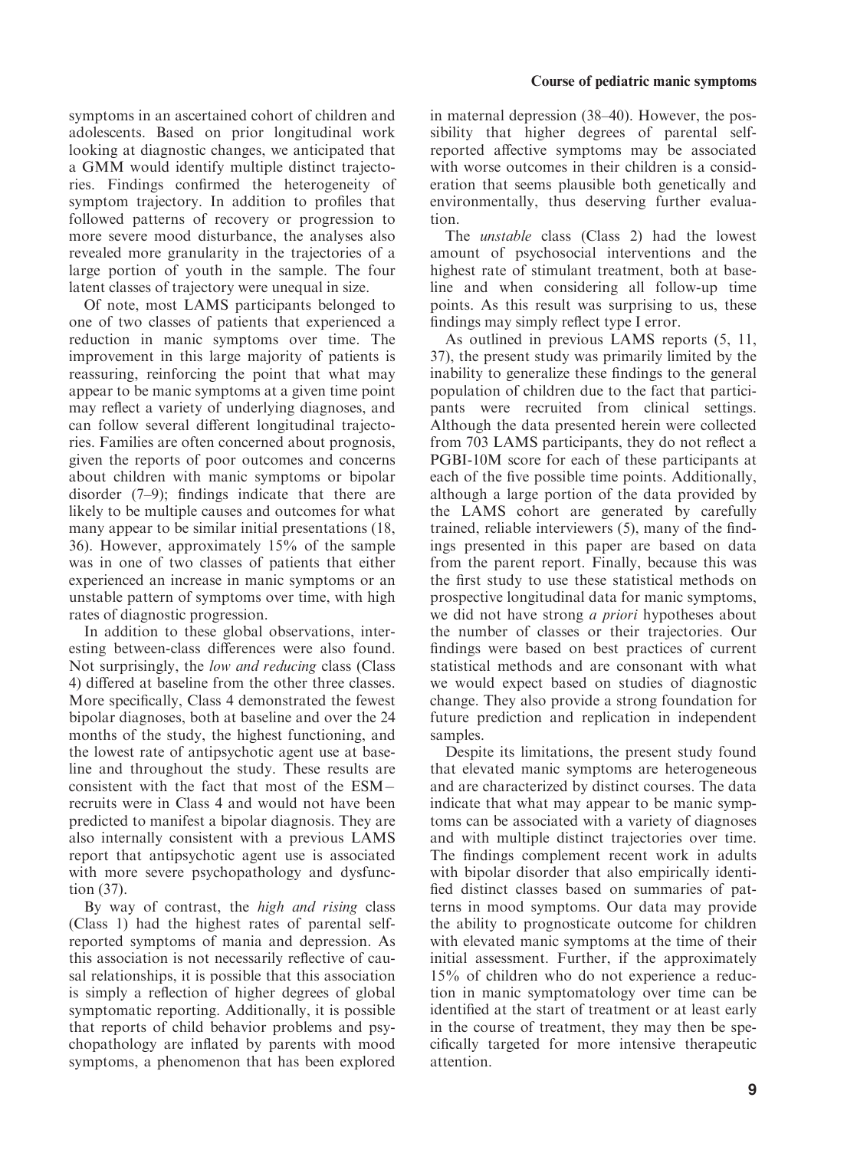symptoms in an ascertained cohort of children and adolescents. Based on prior longitudinal work looking at diagnostic changes, we anticipated that a GMM would identify multiple distinct trajectories. Findings confirmed the heterogeneity of symptom trajectory. In addition to profiles that followed patterns of recovery or progression to more severe mood disturbance, the analyses also revealed more granularity in the trajectories of a large portion of youth in the sample. The four latent classes of trajectory were unequal in size.

Of note, most LAMS participants belonged to one of two classes of patients that experienced a reduction in manic symptoms over time. The improvement in this large majority of patients is reassuring, reinforcing the point that what may appear to be manic symptoms at a given time point may reflect a variety of underlying diagnoses, and can follow several different longitudinal trajectories. Families are often concerned about prognosis, given the reports of poor outcomes and concerns about children with manic symptoms or bipolar disorder (7–9); findings indicate that there are likely to be multiple causes and outcomes for what many appear to be similar initial presentations (18, 36). However, approximately 15% of the sample was in one of two classes of patients that either experienced an increase in manic symptoms or an unstable pattern of symptoms over time, with high rates of diagnostic progression.

In addition to these global observations, interesting between-class differences were also found. Not surprisingly, the low and reducing class (Class 4) differed at baseline from the other three classes. More specifically, Class 4 demonstrated the fewest bipolar diagnoses, both at baseline and over the 24 months of the study, the highest functioning, and the lowest rate of antipsychotic agent use at baseline and throughout the study. These results are consistent with the fact that most of the ESM recruits were in Class 4 and would not have been predicted to manifest a bipolar diagnosis. They are also internally consistent with a previous LAMS report that antipsychotic agent use is associated with more severe psychopathology and dysfunction (37).

By way of contrast, the *high and rising* class (Class 1) had the highest rates of parental selfreported symptoms of mania and depression. As this association is not necessarily reflective of causal relationships, it is possible that this association is simply a reflection of higher degrees of global symptomatic reporting. Additionally, it is possible that reports of child behavior problems and psychopathology are inflated by parents with mood symptoms, a phenomenon that has been explored in maternal depression (38–40). However, the possibility that higher degrees of parental selfreported affective symptoms may be associated with worse outcomes in their children is a consideration that seems plausible both genetically and environmentally, thus deserving further evaluation.

The *unstable* class (Class 2) had the lowest amount of psychosocial interventions and the highest rate of stimulant treatment, both at baseline and when considering all follow-up time points. As this result was surprising to us, these findings may simply reflect type I error.

As outlined in previous LAMS reports (5, 11, 37), the present study was primarily limited by the inability to generalize these findings to the general population of children due to the fact that participants were recruited from clinical settings. Although the data presented herein were collected from 703 LAMS participants, they do not reflect a PGBI-10M score for each of these participants at each of the five possible time points. Additionally, although a large portion of the data provided by the LAMS cohort are generated by carefully trained, reliable interviewers (5), many of the findings presented in this paper are based on data from the parent report. Finally, because this was the first study to use these statistical methods on prospective longitudinal data for manic symptoms, we did not have strong a priori hypotheses about the number of classes or their trajectories. Our findings were based on best practices of current statistical methods and are consonant with what we would expect based on studies of diagnostic change. They also provide a strong foundation for future prediction and replication in independent samples.

Despite its limitations, the present study found that elevated manic symptoms are heterogeneous and are characterized by distinct courses. The data indicate that what may appear to be manic symptoms can be associated with a variety of diagnoses and with multiple distinct trajectories over time. The findings complement recent work in adults with bipolar disorder that also empirically identified distinct classes based on summaries of patterns in mood symptoms. Our data may provide the ability to prognosticate outcome for children with elevated manic symptoms at the time of their initial assessment. Further, if the approximately 15% of children who do not experience a reduction in manic symptomatology over time can be identified at the start of treatment or at least early in the course of treatment, they may then be specifically targeted for more intensive therapeutic attention.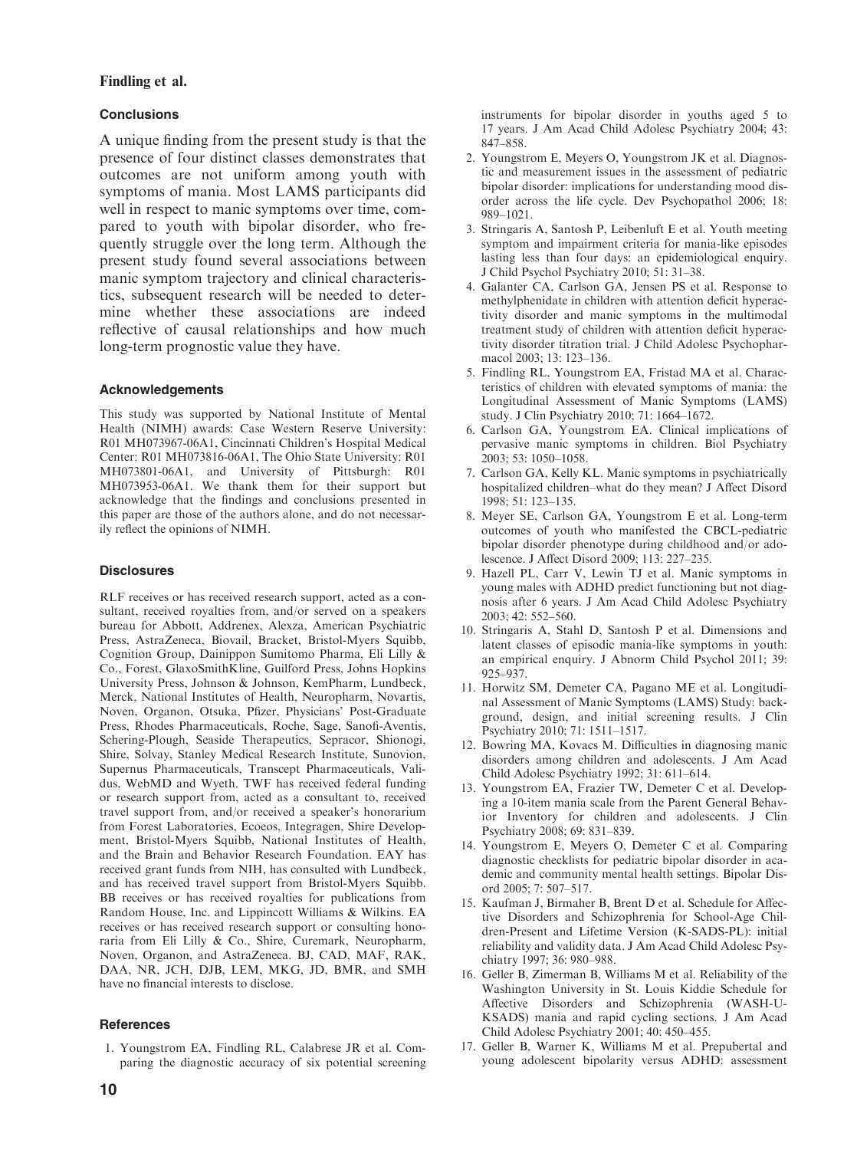#### Findling et al.

#### **Conclusions**

A unique finding from the present study is that the presence of four distinct classes demonstrates that outcomes are not uniform among youth with symptoms of mania. Most LAMS participants did well in respect to manic symptoms over time, compared to youth with bipolar disorder, who frequently struggle over the long term. Although the present study found several associations between manic symptom trajectory and clinical characteristics, subsequent research will be needed to determine whether these associations are indeed reflective of causal relationships and how much long-term prognostic value they have.

#### Acknowledgements

This study was supported by National Institute of Mental Health (NIMH) awards: Case Western Reserve University: R01 MH073967-06A1, Cincinnati Children's Hospital Medical Center: R01 MH073816-06A1, The Ohio State University: R01 MH073801-06A1, and University of Pittsburgh: R01 MH073953-06A1. We thank them for their support but acknowledge that the findings and conclusions presented in this paper are those of the authors alone, and do not necessarily reflect the opinions of NIMH.

#### **Disclosures**

RLF receives or has received research support, acted as a consultant, received royalties from, and/or served on a speakers bureau for Abbott, Addrenex, Alexza, American Psychiatric Press, AstraZeneca, Biovail, Bracket, Bristol-Myers Squibb, Cognition Group, Dainippon Sumitomo Pharma, Eli Lilly & Co., Forest, GlaxoSmithKline, Guilford Press, Johns Hopkins University Press, Johnson & Johnson, KemPharm, Lundbeck, Merck, National Institutes of Health, Neuropharm, Novartis, Noven, Organon, Otsuka, Pfizer, Physicians' Post-Graduate Press, Rhodes Pharmaceuticals, Roche, Sage, Sanofi-Aventis, Schering-Plough, Seaside Therapeutics, Sepracor, Shionogi, Shire, Solvay, Stanley Medical Research Institute, Sunovion, Supernus Pharmaceuticals, Transcept Pharmaceuticals, Validus, WebMD and Wyeth. TWF has received federal funding or research support from, acted as a consultant to, received travel support from, and/or received a speaker's honorarium from Forest Laboratories, Ecoeos, Integragen, Shire Development, Bristol-Myers Squibb, National Institutes of Health, and the Brain and Behavior Research Foundation. EAY has received grant funds from NIH, has consulted with Lundbeck, and has received travel support from Bristol-Myers Squibb. BB receives or has received royalties for publications from Random House, Inc. and Lippincott Williams & Wilkins. EA receives or has received research support or consulting honoraria from Eli Lilly & Co., Shire, Curemark, Neuropharm, Noven, Organon, and AstraZeneca. BJ, CAD, MAF, RAK, DAA, NR, JCH, DJB, LEM, MKG, JD, BMR, and SMH have no financial interests to disclose.

#### References

1. Youngstrom EA, Findling RL, Calabrese JR et al. Comparing the diagnostic accuracy of six potential screening instruments for bipolar disorder in youths aged 5 to 17 years. J Am Acad Child Adolesc Psychiatry 2004; 43: 847–858.

- 2. Youngstrom E, Meyers O, Youngstrom JK et al. Diagnostic and measurement issues in the assessment of pediatric bipolar disorder: implications for understanding mood disorder across the life cycle. Dev Psychopathol 2006; 18: 989–1021.
- 3. Stringaris A, Santosh P, Leibenluft E et al. Youth meeting symptom and impairment criteria for mania-like episodes lasting less than four days: an epidemiological enquiry. J Child Psychol Psychiatry 2010; 51: 31–38.
- 4. Galanter CA, Carlson GA, Jensen PS et al. Response to methylphenidate in children with attention deficit hyperactivity disorder and manic symptoms in the multimodal treatment study of children with attention deficit hyperactivity disorder titration trial. J Child Adolesc Psychopharmacol 2003; 13: 123–136.
- 5. Findling RL, Youngstrom EA, Fristad MA et al. Characteristics of children with elevated symptoms of mania: the Longitudinal Assessment of Manic Symptoms (LAMS) study. J Clin Psychiatry 2010; 71: 1664–1672.
- 6. Carlson GA, Youngstrom EA. Clinical implications of pervasive manic symptoms in children. Biol Psychiatry 2003; 53: 1050–1058.
- 7. Carlson GA, Kelly KL. Manic symptoms in psychiatrically hospitalized children–what do they mean? J Affect Disord 1998; 51: 123–135.
- 8. Meyer SE, Carlson GA, Youngstrom E et al. Long-term outcomes of youth who manifested the CBCL-pediatric bipolar disorder phenotype during childhood and/or adolescence. J Affect Disord 2009; 113: 227–235.
- 9. Hazell PL, Carr V, Lewin TJ et al. Manic symptoms in young males with ADHD predict functioning but not diagnosis after 6 years. J Am Acad Child Adolesc Psychiatry 2003; 42: 552–560.
- 10. Stringaris A, Stahl D, Santosh P et al. Dimensions and latent classes of episodic mania-like symptoms in youth: an empirical enquiry. J Abnorm Child Psychol 2011; 39: 925–937.
- 11. Horwitz SM, Demeter CA, Pagano ME et al. Longitudinal Assessment of Manic Symptoms (LAMS) Study: background, design, and initial screening results. J Clin Psychiatry 2010; 71: 1511–1517.
- 12. Bowring MA, Kovacs M. Difficulties in diagnosing manic disorders among children and adolescents. J Am Acad Child Adolesc Psychiatry 1992; 31: 611–614.
- 13. Youngstrom EA, Frazier TW, Demeter C et al. Developing a 10-item mania scale from the Parent General Behavior Inventory for children and adolescents. J Clin Psychiatry 2008; 69: 831–839.
- 14. Youngstrom E, Meyers O, Demeter C et al. Comparing diagnostic checklists for pediatric bipolar disorder in academic and community mental health settings. Bipolar Disord 2005; 7: 507–517.
- 15. Kaufman J, Birmaher B, Brent D et al. Schedule for Affective Disorders and Schizophrenia for School-Age Children-Present and Lifetime Version (K-SADS-PL): initial reliability and validity data. J Am Acad Child Adolesc Psychiatry 1997; 36: 980–988.
- 16. Geller B, Zimerman B, Williams M et al. Reliability of the Washington University in St. Louis Kiddie Schedule for Affective Disorders and Schizophrenia (WASH-U-KSADS) mania and rapid cycling sections. J Am Acad Child Adolesc Psychiatry 2001; 40: 450–455.
- 17. Geller B, Warner K, Williams M et al. Prepubertal and young adolescent bipolarity versus ADHD: assessment